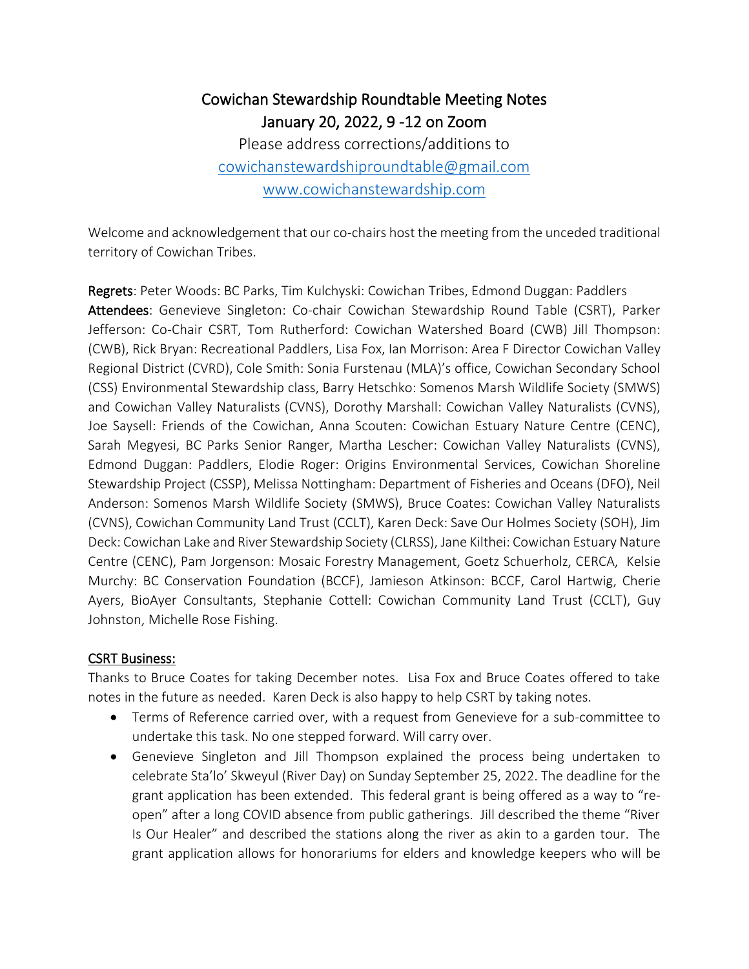## Cowichan Stewardship Roundtable Meeting Notes January 20, 2022, 9 -12 on Zoom

Please address corrections/additions to [cowichanstewardshiproundtable@gmail.com](mailto:cowichanstewardshiproundtable@gmail.com) [www.cowichanstewardship.com](http://www.cowichanstewardship.com/)

Welcome and acknowledgement that our co-chairs host the meeting from the unceded traditional territory of Cowichan Tribes.

Regrets: Peter Woods: BC Parks, Tim Kulchyski: Cowichan Tribes, Edmond Duggan: Paddlers Attendees: Genevieve Singleton: Co-chair Cowichan Stewardship Round Table (CSRT), Parker Jefferson: Co-Chair CSRT, Tom Rutherford: Cowichan Watershed Board (CWB) Jill Thompson: (CWB), Rick Bryan: Recreational Paddlers, Lisa Fox, Ian Morrison: Area F Director Cowichan Valley Regional District (CVRD), Cole Smith: Sonia Furstenau (MLA)'s office, Cowichan Secondary School (CSS) Environmental Stewardship class, Barry Hetschko: Somenos Marsh Wildlife Society (SMWS) and Cowichan Valley Naturalists (CVNS), Dorothy Marshall: Cowichan Valley Naturalists (CVNS), Joe Saysell: Friends of the Cowichan, Anna Scouten: Cowichan Estuary Nature Centre (CENC), Sarah Megyesi, BC Parks Senior Ranger, Martha Lescher: Cowichan Valley Naturalists (CVNS), Edmond Duggan: Paddlers, Elodie Roger: Origins Environmental Services, Cowichan Shoreline Stewardship Project (CSSP), Melissa Nottingham: Department of Fisheries and Oceans (DFO), Neil Anderson: Somenos Marsh Wildlife Society (SMWS), Bruce Coates: Cowichan Valley Naturalists (CVNS), Cowichan Community Land Trust (CCLT), Karen Deck: Save Our Holmes Society (SOH), Jim Deck: Cowichan Lake and River Stewardship Society (CLRSS), Jane Kilthei: Cowichan Estuary Nature Centre (CENC), Pam Jorgenson: Mosaic Forestry Management, Goetz Schuerholz, CERCA, Kelsie Murchy: BC Conservation Foundation (BCCF), Jamieson Atkinson: BCCF, Carol Hartwig, Cherie Ayers, BioAyer Consultants, Stephanie Cottell: Cowichan Community Land Trust (CCLT), Guy Johnston, Michelle Rose Fishing.

## CSRT Business:

Thanks to Bruce Coates for taking December notes. Lisa Fox and Bruce Coates offered to take notes in the future as needed. Karen Deck is also happy to help CSRT by taking notes.

- Terms of Reference carried over, with a request from Genevieve for a sub-committee to undertake this task. No one stepped forward. Will carry over.
- Genevieve Singleton and Jill Thompson explained the process being undertaken to celebrate Sta'lo' Skweyul (River Day) on Sunday September 25, 2022. The deadline for the grant application has been extended. This federal grant is being offered as a way to "reopen" after a long COVID absence from public gatherings. Jill described the theme "River Is Our Healer" and described the stations along the river as akin to a garden tour. The grant application allows for honorariums for elders and knowledge keepers who will be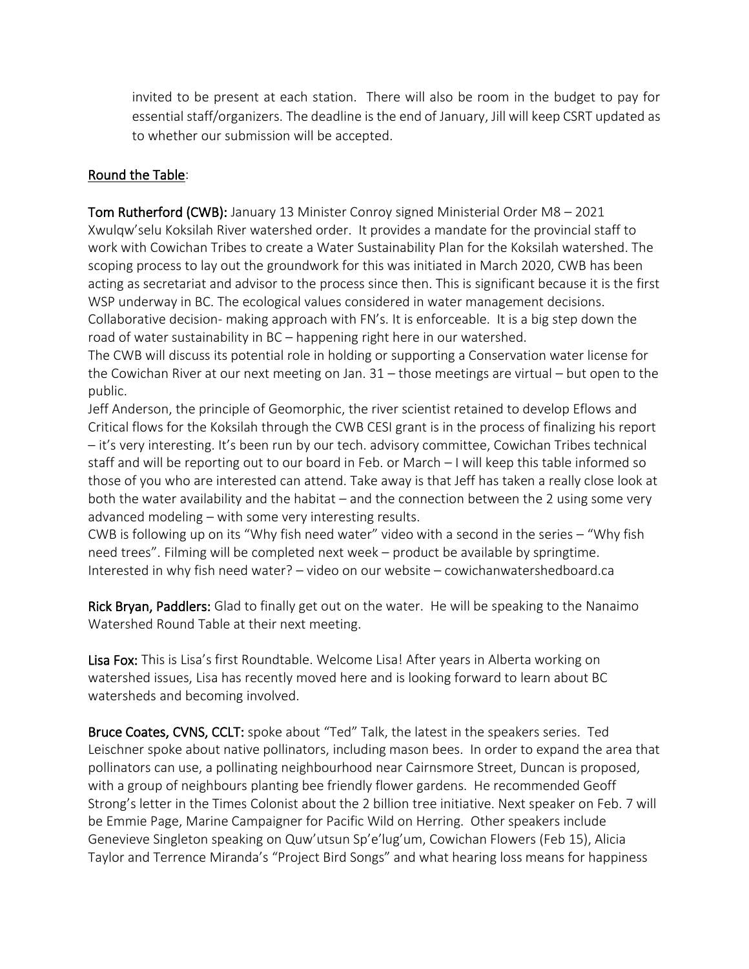invited to be present at each station. There will also be room in the budget to pay for essential staff/organizers. The deadline is the end of January, Jill will keep CSRT updated as to whether our submission will be accepted.

## Round the Table:

Tom Rutherford (CWB): January 13 Minister Conroy signed Ministerial Order M8 – 2021 Xwulqw'selu Koksilah River watershed order. It provides a mandate for the provincial staff to work with Cowichan Tribes to create a Water Sustainability Plan for the Koksilah watershed. The scoping process to lay out the groundwork for this was initiated in March 2020, CWB has been acting as secretariat and advisor to the process since then. This is significant because it is the first WSP underway in BC. The ecological values considered in water management decisions. Collaborative decision- making approach with FN's. It is enforceable. It is a big step down the road of water sustainability in BC – happening right here in our watershed.

The CWB will discuss its potential role in holding or supporting a Conservation water license for the Cowichan River at our next meeting on Jan. 31 – those meetings are virtual – but open to the public.

Jeff Anderson, the principle of Geomorphic, the river scientist retained to develop Eflows and Critical flows for the Koksilah through the CWB CESI grant is in the process of finalizing his report – it's very interesting. It's been run by our tech. advisory committee, Cowichan Tribes technical staff and will be reporting out to our board in Feb. or March – I will keep this table informed so those of you who are interested can attend. Take away is that Jeff has taken a really close look at both the water availability and the habitat – and the connection between the 2 using some very advanced modeling – with some very interesting results.

CWB is following up on its "Why fish need water" video with a second in the series – "Why fish need trees". Filming will be completed next week – product be available by springtime. Interested in why fish need water? – video on our website – cowichanwatershedboard.ca

Rick Bryan, Paddlers: Glad to finally get out on the water. He will be speaking to the Nanaimo Watershed Round Table at their next meeting.

Lisa Fox: This is Lisa's first Roundtable. Welcome Lisa! After years in Alberta working on watershed issues, Lisa has recently moved here and is looking forward to learn about BC watersheds and becoming involved.

Bruce Coates, CVNS, CCLT: spoke about "Ted" Talk, the latest in the speakers series. Ted Leischner spoke about native pollinators, including mason bees. In order to expand the area that pollinators can use, a pollinating neighbourhood near Cairnsmore Street, Duncan is proposed, with a group of neighbours planting bee friendly flower gardens. He recommended Geoff Strong's letter in the Times Colonist about the 2 billion tree initiative. Next speaker on Feb. 7 will be Emmie Page, Marine Campaigner for Pacific Wild on Herring. Other speakers include Genevieve Singleton speaking on Quw'utsun Sp'e'lug'um, Cowichan Flowers (Feb 15), Alicia Taylor and Terrence Miranda's "Project Bird Songs" and what hearing loss means for happiness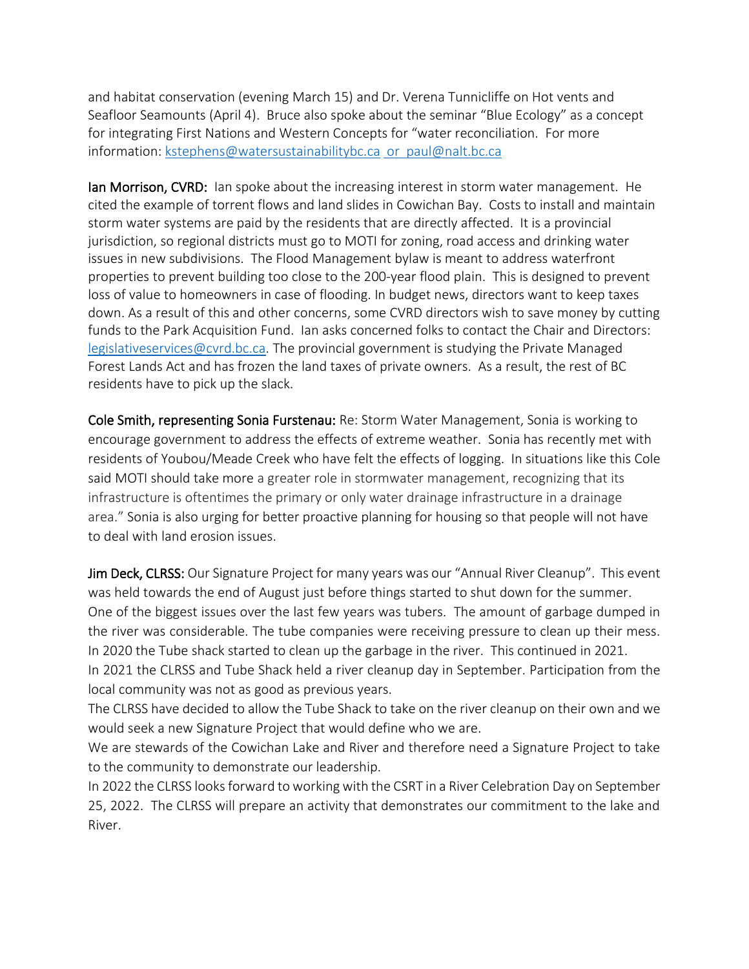and habitat conservation (evening March 15) and Dr. Verena Tunnicliffe on Hot vents and Seafloor Seamounts (April 4). Bruce also spoke about the seminar "Blue Ecology" as a concept for integrating First Nations and Western Concepts for "water reconciliation. For more information: [kstephens@watersustainabilitybc.ca](mailto:kstephens@watersustainabilitybc.ca) [or paul@nalt.bc.ca](mailto:%20or%20%20paul@nalt.bc.ca)

**Ian Morrison, CVRD:** Ian spoke about the increasing interest in storm water management. He cited the example of torrent flows and land slides in Cowichan Bay. Costs to install and maintain storm water systems are paid by the residents that are directly affected. It is a provincial jurisdiction, so regional districts must go to MOTI for zoning, road access and drinking water issues in new subdivisions. The Flood Management bylaw is meant to address waterfront properties to prevent building too close to the 200-year flood plain. This is designed to prevent loss of value to homeowners in case of flooding. In budget news, directors want to keep taxes down. As a result of this and other concerns, some CVRD directors wish to save money by cutting funds to the Park Acquisition Fund. Ian asks concerned folks to contact the Chair and Directors: [legislativeservices@cvrd.bc.ca.](mailto:legislativeservices@cvrd.bc.ca) The provincial government is studying the Private Managed Forest Lands Act and has frozen the land taxes of private owners. As a result, the rest of BC residents have to pick up the slack.

Cole Smith, representing Sonia Furstenau: Re: Storm Water Management, Sonia is working to encourage government to address the effects of extreme weather. Sonia has recently met with residents of Youbou/Meade Creek who have felt the effects of logging. In situations like this Cole said MOTI should take more a greater role in stormwater management, recognizing that its infrastructure is oftentimes the primary or only water drainage infrastructure in a drainage area." Sonia is also urging for better proactive planning for housing so that people will not have to deal with land erosion issues.

Jim Deck, CLRSS: Our Signature Project for many years was our "Annual River Cleanup". This event was held towards the end of August just before things started to shut down for the summer. One of the biggest issues over the last few years was tubers. The amount of garbage dumped in the river was considerable. The tube companies were receiving pressure to clean up their mess. In 2020 the Tube shack started to clean up the garbage in the river. This continued in 2021. In 2021 the CLRSS and Tube Shack held a river cleanup day in September. Participation from the local community was not as good as previous years.

The CLRSS have decided to allow the Tube Shack to take on the river cleanup on their own and we would seek a new Signature Project that would define who we are.

We are stewards of the Cowichan Lake and River and therefore need a Signature Project to take to the community to demonstrate our leadership.

In 2022 the CLRSS looks forward to working with the CSRT in a River Celebration Day on September 25, 2022. The CLRSS will prepare an activity that demonstrates our commitment to the lake and River.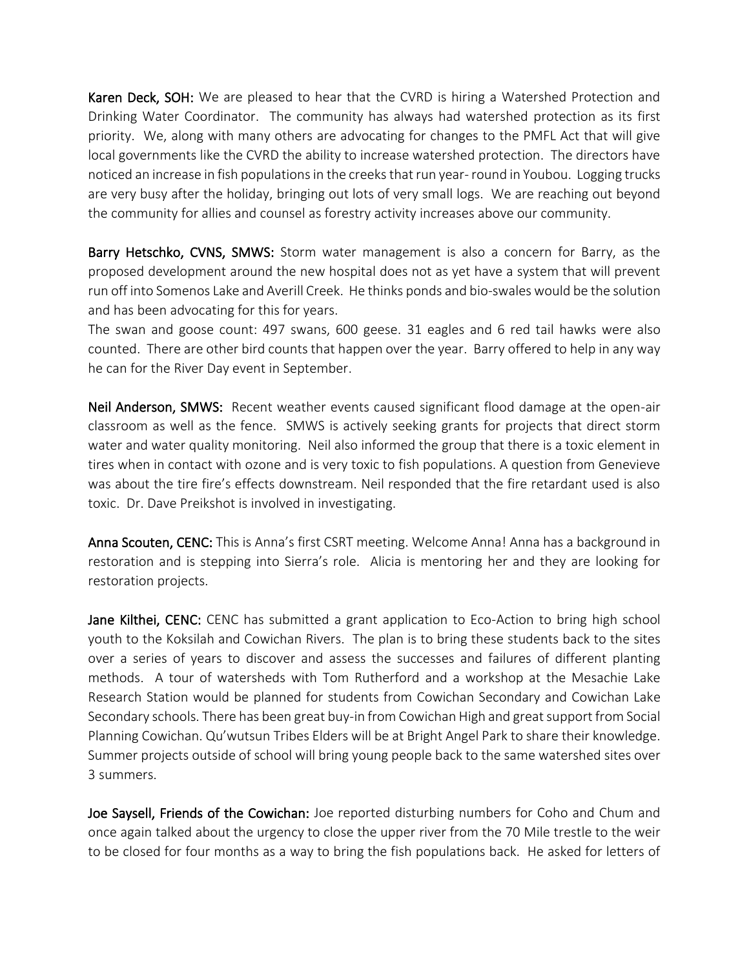Karen Deck, SOH: We are pleased to hear that the CVRD is hiring a Watershed Protection and Drinking Water Coordinator. The community has always had watershed protection as its first priority. We, along with many others are advocating for changes to the PMFL Act that will give local governments like the CVRD the ability to increase watershed protection. The directors have noticed an increase in fish populations in the creeks that run year-round in Youbou. Logging trucks are very busy after the holiday, bringing out lots of very small logs. We are reaching out beyond the community for allies and counsel as forestry activity increases above our community.

Barry Hetschko, CVNS, SMWS: Storm water management is also a concern for Barry, as the proposed development around the new hospital does not as yet have a system that will prevent run off into Somenos Lake and Averill Creek. He thinks ponds and bio-swales would be the solution and has been advocating for this for years.

The swan and goose count: 497 swans, 600 geese. 31 eagles and 6 red tail hawks were also counted. There are other bird counts that happen over the year. Barry offered to help in any way he can for the River Day event in September.

Neil Anderson, SMWS: Recent weather events caused significant flood damage at the open-air classroom as well as the fence. SMWS is actively seeking grants for projects that direct storm water and water quality monitoring. Neil also informed the group that there is a toxic element in tires when in contact with ozone and is very toxic to fish populations. A question from Genevieve was about the tire fire's effects downstream. Neil responded that the fire retardant used is also toxic. Dr. Dave Preikshot is involved in investigating.

Anna Scouten, CENC: This is Anna's first CSRT meeting. Welcome Anna! Anna has a background in restoration and is stepping into Sierra's role. Alicia is mentoring her and they are looking for restoration projects.

Jane Kilthei, CENC: CENC has submitted a grant application to Eco-Action to bring high school youth to the Koksilah and Cowichan Rivers. The plan is to bring these students back to the sites over a series of years to discover and assess the successes and failures of different planting methods. A tour of watersheds with Tom Rutherford and a workshop at the Mesachie Lake Research Station would be planned for students from Cowichan Secondary and Cowichan Lake Secondary schools. There has been great buy-in from Cowichan High and great support from Social Planning Cowichan. Qu'wutsun Tribes Elders will be at Bright Angel Park to share their knowledge. Summer projects outside of school will bring young people back to the same watershed sites over 3 summers.

Joe Saysell, Friends of the Cowichan: Joe reported disturbing numbers for Coho and Chum and once again talked about the urgency to close the upper river from the 70 Mile trestle to the weir to be closed for four months as a way to bring the fish populations back. He asked for letters of